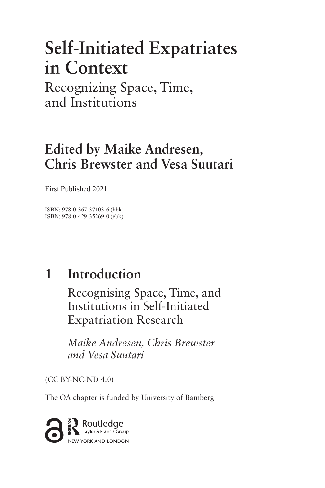# **Self-Initiated Expatriates in Context**

Recognizing Space, Time, and Institutions

# **Edited by Maike Andresen, Chris Brewster and Vesa Suutari**

First Published 2021

ISBN: 978-0-367-37103-6 (hbk) ISBN: 978-0-429-35269-0 (ebk)

#### **Introduction 1**

Recognising Space, Time, and Institutions in Self-Initiated Expatriation Research

*Maike Andresen, Chris Brewster and Vesa Suutari*

(CC BY-NC-ND 4.0)

The OA chapter is funded by University of Bamberg

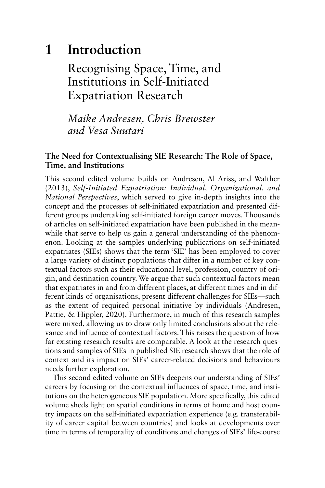#### **Introduction 1**

Recognising Space, Time, and Institutions in Self-Initiated Expatriation Research

*Maike Andresen, Chris Brewster and Vesa Suutari* 

# **The Need for Contextualising SIE Research: The Role of Space, Time, and Institutions**

This second edited volume builds on Andresen, Al Ariss, and Walther (2013 ), *Self-Initiated Expatriation: Individual, Organizational, and National Perspectives*, which served to give in-depth insights into the concept and the processes of self-initiated expatriation and presented different groups undertaking self-initiated foreign career moves. Thousands of articles on self-initiated expatriation have been published in the meanwhile that serve to help us gain a general understanding of the phenomenon. Looking at the samples underlying publications on self-initiated expatriates (SIEs) shows that the term 'SIE' has been employed to cover a large variety of distinct populations that differ in a number of key contextual factors such as their educational level, profession, country of origin, and destination country. We argue that such contextual factors mean that expatriates in and from different places, at different times and in different kinds of organisations, present different challenges for SIEs—such as the extent of required personal initiative by individuals (Andresen, Pattie, & Hippler, 2020). Furthermore, in much of this research samples were mixed, allowing us to draw only limited conclusions about the relevance and influence of contextual factors. This raises the question of how far existing research results are comparable. A look at the research questions and samples of SIEs in published SIE research shows that the role of context and its impact on SIEs' career-related decisions and behaviours needs further exploration.

This second edited volume on SIEs deepens our understanding of SIEs' careers by focusing on the contextual influences of space, time, and institutions on the heterogeneous SIE population. More specifically, this edited volume sheds light on spatial conditions in terms of home and host country impacts on the self-initiated expatriation experience (e.g. transferability of career capital between countries) and looks at developments over time in terms of temporality of conditions and changes of SIEs' life-course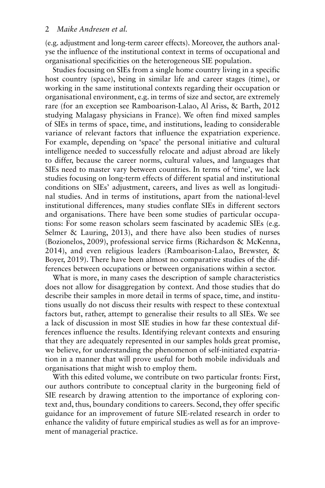(e.g. adjustment and long-term career effects). Moreover, the authors analyse the influence of the institutional context in terms of occupational and organisational specificities on the heterogeneous SIE population.

Studies focusing on SIEs from a single home country living in a specific host country (space), being in similar life and career stages (time), or working in the same institutional contexts regarding their occupation or organisational environment, e.g. in terms of size and sector, are extremely rare (for an exception see Ramboarison-Lalao, Al Ariss, & Barth, 2012 studying Malagasy physicians in France). We often find mixed samples of SIEs in terms of space, time, and institutions, leading to considerable variance of relevant factors that influence the expatriation experience. For example, depending on 'space' the personal initiative and cultural intelligence needed to successfully relocate and adjust abroad are likely to differ, because the career norms, cultural values, and languages that SIEs need to master vary between countries. In terms of 'time', we lack studies focusing on long-term effects of different spatial and institutional conditions on SIEs' adjustment, careers, and lives as well as longitudinal studies. And in terms of institutions, apart from the national-level institutional differences, many studies conflate SIEs in different sectors and organisations. There have been some studies of particular occupations: For some reason scholars seem fascinated by academic SIEs (e.g. Selmer  $\&$  Lauring, 2013), and there have also been studies of nurses (Bozionelos, 2009), professional service firms (Richardson & McKenna, 2014), and even religious leaders (Ramboarison-Lalao, Brewster, & Boyer, 2019). There have been almost no comparative studies of the differences between occupations or between organisations within a sector.

What is more, in many cases the description of sample characteristics does not allow for disaggregation by context. And those studies that do describe their samples in more detail in terms of space, time, and institutions usually do not discuss their results with respect to these contextual factors but, rather, attempt to generalise their results to all SIEs. We see a lack of discussion in most SIE studies in how far these contextual differences influence the results. Identifying relevant contexts and ensuring that they are adequately represented in our samples holds great promise, we believe, for understanding the phenomenon of self-initiated expatriation in a manner that will prove useful for both mobile individuals and organisations that might wish to employ them.

With this edited volume, we contribute on two particular fronts: First, our authors contribute to conceptual clarity in the burgeoning field of SIE research by drawing attention to the importance of exploring context and, thus, boundary conditions to careers. Second, they offer specific guidance for an improvement of future SIE-related research in order to enhance the validity of future empirical studies as well as for an improvement of managerial practice.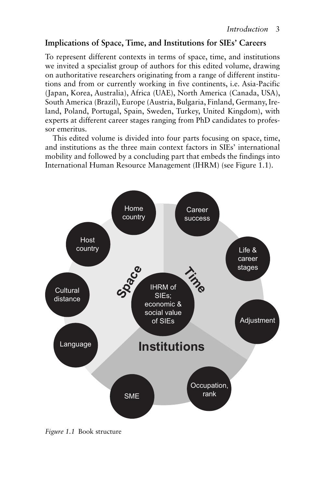# **Implications of Space, Time, and Institutions for SIEs' Careers**

To represent different contexts in terms of space, time, and institutions we invited a specialist group of authors for this edited volume, drawing on authoritative researchers originating from a range of different institutions and from or currently working in five continents, i.e. Asia-Pacific (Japan, Korea, Australia), Africa (UAE), North America (Canada, USA), South America (Brazil), Europe (Austria, Bulgaria, Finland, Germany, Ireland, Poland, Portugal, Spain, Sweden, Turkey, United Kingdom), with experts at different career stages ranging from PhD candidates to professor emeritus.

This edited volume is divided into four parts focusing on space, time, and institutions as the three main context factors in SIEs' international mobility and followed by a concluding part that embeds the findings into International Human Resource Management (IHRM) (see Figure 1.1).



*Figure 1.1* Book structure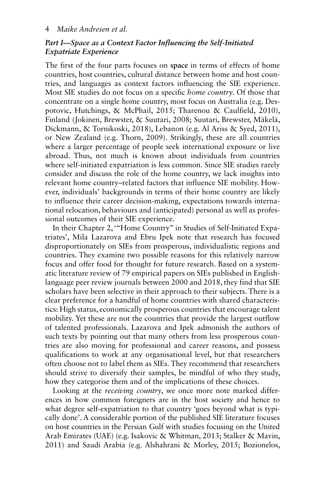## *Part I—Space as a Context Factor Influencing the Self-Initiated Expatriate Experience*

The first of the four parts focuses on **space** in terms of effects of home countries, host countries, cultural distance between home and host countries, and languages as context factors influencing the SIE experience. Most SIE studies do not focus on a specific *home country*. Of those that concentrate on a single home country, most focus on Australia (e.g. Despotovic, Hutchings, & McPhail, 2015; Tharenou & Caulfield, 2010), Finland (Jokinen, Brewster, & Suutari, 2008; Suutari, Brewster, Mäkelä, Dickmann, & Tornikoski, 2018), Lebanon (e.g. Al Ariss & Syed, 2011), or New Zealand (e.g. Thorn, 2009 ). Strikingly, these are all countries where a larger percentage of people seek international exposure or live abroad. Thus, not much is known about individuals from countries where self-initiated expatriation is less common. Since SIE studies rarely consider and discuss the role of the home country, we lack insights into relevant home country–related factors that influence SIE mobility. However, individuals' backgrounds in terms of their home country are likely to influence their career decision-making, expectations towards international relocation, behaviours and (anticipated) personal as well as professional outcomes of their SIE experience.

In their Chapter 2, "Home Country" in Studies of Self-Initiated Expatriates', Mila Lazarova and Ebru Ipek note that research has focused disproportionately on SIEs from prosperous, individualistic regions and countries. They examine two possible reasons for this relatively narrow focus and offer food for thought for future research. Based on a systematic literature review of 79 empirical papers on SIEs published in Englishlanguage peer review journals between 2000 and 2018, they find that SIE scholars have been selective in their approach to their subjects. There is a clear preference for a handful of home countries with shared characteristics: High status, economically prosperous countries that encourage talent mobility. Yet these are not the countries that provide the largest outflow of talented professionals. Lazarova and Ipek admonish the authors of such texts by pointing out that many others from less prosperous countries are also moving for professional and career reasons, and possess qualifications to work at any organisational level, but that researchers often choose not to label them as SIEs. They recommend that researchers should strive to diversify their samples, be mindful of who they study, how they categorise them and of the implications of these choices.

Looking at the *receiving country*, we once more note marked differences in how common foreigners are in the host society and hence to what degree self-expatriation to that country 'goes beyond what is typically done'. A considerable portion of the published SIE literature focuses on host countries in the Persian Gulf with studies focusing on the United Arab Emirates (UAE) (e.g. Isakovic & Whitman, 2013; Stalker & Mavin, 2011) and Saudi Arabia (e.g. Alshahrani & Morley, 2015; Bozionelos,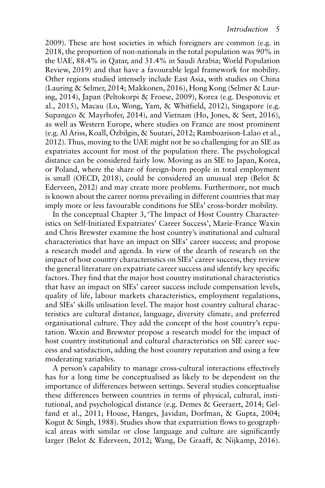2009). These are host societies in which foreigners are common (e.g. in 2018, the proportion of non-nationals in the total population was 90% in the UAE, 88.4% in Qatar, and 31.4% in Saudi Arabia; World Population Review, 2019 ) and that have a favourable legal framework for mobility. Other regions studied intensely include East Asia, with studies on China (Lauring & Selmer, 2014; Makkonen, 2016 ), Hong Kong ( Selmer & Lauring, 2014 ), Japan ( Peltokorpi & Froese, 2009 ), Korea (e.g. Despotovic et al., 2015), Macau (Lo, Wong, Yam,  $\&$  Whitfield, 2012), Singapore (e.g. Supangco & Mayrhofer, 2014), and Vietnam (Ho, Jones, & Seet, 2016), as well as Western Europe, where studies on France are most prominent (e.g. Al Ariss, Koall, Özbilgin, & Suutari, 2012 ; Ramboarison-Lalao et al., 2012 ). Thus, moving to the UAE might not be so challenging for an SIE as expatriates account for most of the population there. The psychological distance can be considered fairly low. Moving as an SIE to Japan, Korea, or Poland, where the share of foreign-born people in total employment is small (OECD, 2018), could be considered an unusual step (Belot  $\&$ Ederveen, 2012) and may create more problems. Furthermore, not much is known about the career norms prevailing in different countries that may imply more or less favourable conditions for SIEs' cross-border mobility.

In the conceptual Chapter 3, 'The Impact of Host Country Characteristics on Self-Initiated Expatriates' Career Success', Marie-France Waxin and Chris Brewster examine the host country's institutional and cultural characteristics that have an impact on SIEs' career success; and propose a research model and agenda. In view of the dearth of research on the impact of host country characteristics on SIEs' career success, they review the general literature on expatriate career success and identify key specific factors. They find that the major host country institutional characteristics that have an impact on SIEs' career success include compensation levels, quality of life, labour markets characteristics, employment regulations, and SIEs' skills utilisation level. The major host country cultural characteristics are cultural distance, language, diversity climate, and preferred organisational culture. They add the concept of the host country's reputation. Waxin and Brewster propose a research model for the impact of host country institutional and cultural characteristics on SIE career success and satisfaction, adding the host country reputation and using a few moderating variables.

A person's capability to manage cross-cultural interactions effectively has for a long time be conceptualised as likely to be dependent on the importance of differences between settings. Several studies conceptualise these differences between countries in terms of physical, cultural, institutional, and psychological distance (e.g. Demes & Geeraert, 2014; Gelfand et al., 2011; House, Hanges, Javidan, Dorfman, & Gupta, 2004; Kogut & Singh, 1988). Studies show that expatriation flows to geographical areas with similar or close language and culture are significantly larger (Belot & Ederveen, 2012; Wang, De Graaff, & Nijkamp, 2016).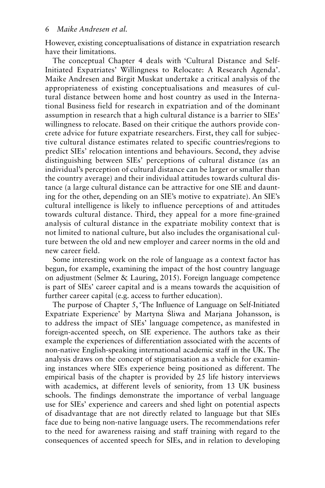However, existing conceptualisations of distance in expatriation research have their limitations.

The conceptual Chapter 4 deals with 'Cultural Distance and Self-Initiated Expatriates' Willingness to Relocate: A Research Agenda'. Maike Andresen and Birgit Muskat undertake a critical analysis of the appropriateness of existing conceptualisations and measures of cultural distance between home and host country as used in the International Business field for research in expatriation and of the dominant assumption in research that a high cultural distance is a barrier to SIEs' willingness to relocate. Based on their critique the authors provide concrete advice for future expatriate researchers. First, they call for subjective cultural distance estimates related to specific countries/regions to predict SIEs' relocation intentions and behaviours. Second, they advise distinguishing between SIEs' perceptions of cultural distance (as an individual's perception of cultural distance can be larger or smaller than the country average) and their individual attitudes towards cultural distance (a large cultural distance can be attractive for one SIE and daunting for the other, depending on an SIE's motive to expatriate). An SIE's cultural intelligence is likely to influence perceptions of and attitudes towards cultural distance. Third, they appeal for a more fine-grained analysis of cultural distance in the expatriate mobility context that is not limited to national culture, but also includes the organisational culture between the old and new employer and career norms in the old and new career field.

Some interesting work on the role of language as a context factor has begun, for example, examining the impact of the host country language on adjustment (Selmer & Lauring, 2015). Foreign language competence is part of SIEs' career capital and is a means towards the acquisition of further career capital (e.g. access to further education).

The purpose of Chapter 5, The Influence of Language on Self-Initiated Expatriate Experience' by Martyna Śliwa and Marjana Johansson, is to address the impact of SIEs' language competence, as manifested in foreign-accented speech, on SIE experience. The authors take as their example the experiences of differentiation associated with the accents of non-native English-speaking international academic staff in the UK. The analysis draws on the concept of stigmatisation as a vehicle for examining instances where SIEs experience being positioned as different. The empirical basis of the chapter is provided by 25 life history interviews with academics, at different levels of seniority, from 13 UK business schools. The findings demonstrate the importance of verbal language use for SIEs' experience and careers and shed light on potential aspects of disadvantage that are not directly related to language but that SIEs face due to being non-native language users. The recommendations refer to the need for awareness raising and staff training with regard to the consequences of accented speech for SIEs, and in relation to developing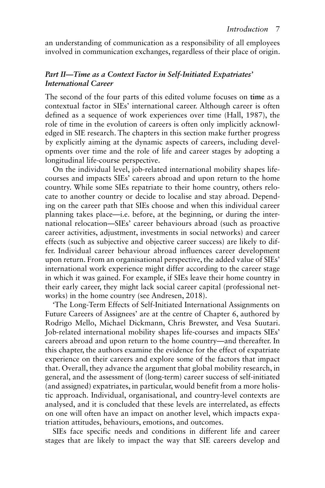an understanding of communication as a responsibility of all employees involved in communication exchanges, regardless of their place of origin.

## *Part II—Time as a Context Factor in Self-Initiated Expatriates' International Career*

The second of the four parts of this edited volume focuses on **time** as a contextual factor in SIEs' international career. Although career is often defined as a sequence of work experiences over time (Hall, 1987), the role of time in the evolution of careers is often only implicitly acknowledged in SIE research. The chapters in this section make further progress by explicitly aiming at the dynamic aspects of careers, including developments over time and the role of life and career stages by adopting a longitudinal life-course perspective.

On the individual level, job-related international mobility shapes lifecourses and impacts SIEs' careers abroad and upon return to the home country. While some SIEs repatriate to their home country, others relocate to another country or decide to localise and stay abroad. Depending on the career path that SIEs choose and when this individual career planning takes place—i.e. before, at the beginning, or during the international relocation—SIEs' career behaviours abroad (such as proactive career activities, adjustment, investments in social networks) and career effects (such as subjective and objective career success) are likely to differ. Individual career behaviour abroad influences career development upon return. From an organisational perspective, the added value of SIEs' international work experience might differ according to the career stage in which it was gained. For example, if SIEs leave their home country in their early career, they might lack social career capital (professional networks) in the home country (see Andresen, 2018).

'The Long-Term Effects of Self-Initiated International Assignments on Future Careers of Assignees' are at the centre of Chapter 6, authored by Rodrigo Mello, Michael Dickmann, Chris Brewster, and Vesa Suutari. Job-related international mobility shapes life-courses and impacts SIEs' careers abroad and upon return to the home country—and thereafter. In this chapter, the authors examine the evidence for the effect of expatriate experience on their careers and explore some of the factors that impact that. Overall, they advance the argument that global mobility research, in general, and the assessment of (long-term) career success of self-initiated (and assigned) expatriates, in particular, would benefit from a more holistic approach. Individual, organisational, and country-level contexts are analysed, and it is concluded that these levels are interrelated, as effects on one will often have an impact on another level, which impacts expatriation attitudes, behaviours, emotions, and outcomes.

SIEs face specific needs and conditions in different life and career stages that are likely to impact the way that SIE careers develop and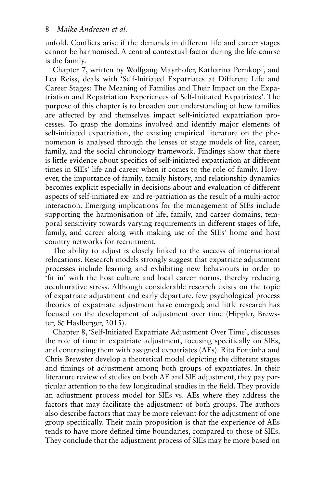unfold. Conflicts arise if the demands in different life and career stages cannot be harmonised. A central contextual factor during the life-course is the family.

Chapter 7, written by Wolfgang Mayrhofer, Katharina Pernkopf, and Lea Reiss, deals with 'Self-Initiated Expatriates at Different Life and Career Stages: The Meaning of Families and Their Impact on the Expatriation and Repatriation Experiences of Self-Initiated Expatriates'. The purpose of this chapter is to broaden our understanding of how families are affected by and themselves impact self-initiated expatriation processes. To grasp the domains involved and identify major elements of self-initiated expatriation, the existing empirical literature on the phenomenon is analysed through the lenses of stage models of life, career, family, and the social chronology framework. Findings show that there is little evidence about specifics of self-initiated expatriation at different times in SIEs' life and career when it comes to the role of family. However, the importance of family, family history, and relationship dynamics becomes explicit especially in decisions about and evaluation of different aspects of self-initiated ex- and re-patriation as the result of a multi-actor interaction. Emerging implications for the management of SIEs include supporting the harmonisation of life, family, and career domains, temporal sensitivity towards varying requirements in different stages of life, family, and career along with making use of the SIEs' home and host country networks for recruitment.

The ability to adjust is closely linked to the success of international relocations. Research models strongly suggest that expatriate adjustment processes include learning and exhibiting new behaviours in order to 'fit in' with the host culture and local career norms, thereby reducing acculturative stress. Although considerable research exists on the topic of expatriate adjustment and early departure, few psychological process theories of expatriate adjustment have emerged; and little research has focused on the development of adjustment over time (Hippler, Brewster, & Haslberger, 2015).

Chapter 8, 'Self-Initiated Expatriate Adjustment Over Time', discusses the role of time in expatriate adjustment, focusing specifically on SIEs, and contrasting them with assigned expatriates (AEs). Rita Fontinha and Chris Brewster develop a theoretical model depicting the different stages and timings of adjustment among both groups of expatriates. In their literature review of studies on both AE and SIE adjustment, they pay particular attention to the few longitudinal studies in the field. They provide an adjustment process model for SIEs vs. AEs where they address the factors that may facilitate the adjustment of both groups. The authors also describe factors that may be more relevant for the adjustment of one group specifically. Their main proposition is that the experience of AEs tends to have more defined time boundaries, compared to those of SIEs. They conclude that the adjustment process of SIEs may be more based on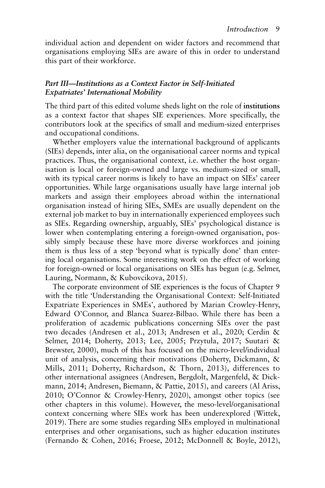individual action and dependent on wider factors and recommend that organisations employing SIEs are aware of this in order to understand this part of their workforce.

#### *Part III—Institutions as a Context Factor in Self-Initiated Expatriates' International Mobility*

The third part of this edited volume sheds light on the role of **institutions** as a context factor that shapes SIE experiences. More specifically, the contributors look at the specifics of small and medium-sized enterprises and occupational conditions.

Whether employers value the international background of applicants (SIEs) depends, inter alia, on the organisational career norms and typical practices. Thus, the organisational context, i.e. whether the host organisation is local or foreign-owned and large vs. medium-sized or small, with its typical career norms is likely to have an impact on SIEs' career opportunities. While large organisations usually have large internal job markets and assign their employees abroad within the international organisation instead of hiring SIEs, SMEs are usually dependent on the external job market to buy in internationally experienced employees such as SIEs. Regarding ownership, arguably, SIEs' psychological distance is lower when contemplating entering a foreign-owned organisation, possibly simply because these have more diverse workforces and joining them is thus less of a step 'beyond what is typically done' than entering local organisations. Some interesting work on the effect of working for foreign-owned or local organisations on SIEs has begun (e.g. Selmer, Lauring, Normann, & Kubovcikova, 2015).

The corporate environment of SIE experiences is the focus of Chapter 9 with the title 'Understanding the Organisational Context: Self-Initiated Expatriate Experiences in SMEs', authored by Marian Crowley-Henry, Edward O'Connor, and Blanca Suarez-Bilbao. While there has been a proliferation of academic publications concerning SIEs over the past two decades (Andresen et al., 2013; Andresen et al., 2020; Cerdin & Selmer, 2014; Doherty, 2013; Lee, 2005; Przytuła, 2017; Suutari & Brewster, 2000), much of this has focused on the micro-level/individual unit of analysis, concerning their motivations (Doherty, Dickmann,  $\&$ Mills, 2011; Doherty, Richardson, & Thorn, 2013), differences to other international assignees ( Andresen, Bergdolt, Margenfeld, & Dickmann, 2014; Andresen, Biemann, & Pattie, 2015), and careers (Al Ariss, 2010; O'Connor & Crowley-Henry, 2020), amongst other topics (see other chapters in this volume). However, the meso-level/organisational context concerning where SIEs work has been underexplored (Wittek, 2019 ). There are some studies regarding SIEs employed in multinational enterprises and other organisations, such as higher education institutes (Fernando & Cohen, 2016; Froese, 2012; McDonnell & Boyle, 2012),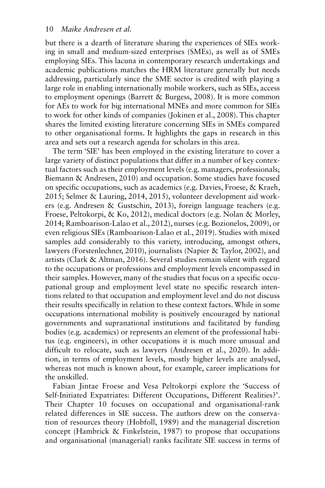but there is a dearth of literature sharing the experiences of SIEs working in small and medium-sized enterprises (SMEs), as well as of SMEs employing SIEs. This lacuna in contemporary research undertakings and academic publications matches the HRM literature generally but needs addressing, particularly since the SME sector is credited with playing a large role in enabling internationally mobile workers, such as SIEs, access to employment openings (Barrett & Burgess, 2008). It is more common for AEs to work for big international MNEs and more common for SIEs to work for other kinds of companies (Jokinen et al., 2008). This chapter shares the limited existing literature concerning SIEs in SMEs compared to other organisational forms. It highlights the gaps in research in this area and sets out a research agenda for scholars in this area.

The term 'SIE' has been employed in the existing literature to cover a large variety of distinct populations that differ in a number of key contextual factors such as their employment levels (e.g. managers, professionals; Biemann & Andresen, 2010) and occupation. Some studies have focused on specific occupations, such as academics (e.g. Davies, Froese, & Kraeh, 2015; Selmer & Lauring, 2014, 2015), volunteer development aid workers (e.g. Andresen & Gustschin, 2013), foreign language teachers (e.g. Froese, Peltokorpi, & Ko, 2012), medical doctors (e.g. Nolan & Morley, 2014 ; Ramboarison-Lalao et al., 2012 ), nurses (e.g. Bozionelos, 2009 ), or even religious SIEs ( Ramboarison-Lalao et al., 2019 ). Studies with mixed samples add considerably to this variety, introducing, amongst others, lawyers (Forstenlechner, 2010), journalists (Napier & Taylor, 2002), and artists (Clark & Altman, 2016). Several studies remain silent with regard to the occupations or professions and employment levels encompassed in their samples. However, many of the studies that focus on a specific occupational group and employment level state no specific research intentions related to that occupation and employment level and do not discuss their results specifically in relation to these context factors. While in some occupations international mobility is positively encouraged by national governments and supranational institutions and facilitated by funding bodies (e.g. academics) or represents an element of the professional habitus (e.g. engineers), in other occupations it is much more unusual and difficult to relocate, such as lawyers (Andresen et al., 2020). In addition, in terms of employment levels, mostly higher levels are analysed, whereas not much is known about, for example, career implications for the unskilled.

Fabian Jintae Froese and Vesa Peltokorpi explore the 'Success of Self-Initiated Expatriates: Different Occupations, Different Realities?'. Their Chapter 10 focuses on occupational and organisational-rank related differences in SIE success. The authors drew on the conservation of resources theory (Hobfoll, 1989) and the managerial discretion concept (Hambrick & Finkelstein, 1987) to propose that occupations and organisational (managerial) ranks facilitate SIE success in terms of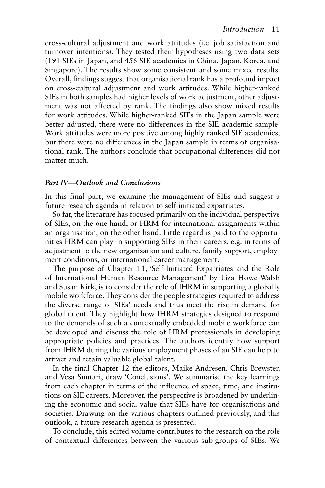cross-cultural adjustment and work attitudes (i.e. job satisfaction and turnover intentions). They tested their hypotheses using two data sets (191 SIEs in Japan, and 456 SIE academics in China, Japan, Korea, and Singapore). The results show some consistent and some mixed results. Overall, findings suggest that organisational rank has a profound impact on cross-cultural adjustment and work attitudes. While higher-ranked SIEs in both samples had higher levels of work adjustment, other adjustment was not affected by rank. The findings also show mixed results for work attitudes. While higher-ranked SIEs in the Japan sample were better adjusted, there were no differences in the SIE academic sample. Work attitudes were more positive among highly ranked SIE academics, but there were no differences in the Japan sample in terms of organisational rank. The authors conclude that occupational differences did not matter much.

#### *Part IV—Outlook and Conclusions*

In this final part, we examine the management of SIEs and suggest a future research agenda in relation to self-initiated expatriates.

So far, the literature has focused primarily on the individual perspective of SIEs, on the one hand, or HRM for international assignments within an organisation, on the other hand. Little regard is paid to the opportunities HRM can play in supporting SIEs in their careers, e.g. in terms of adjustment to the new organisation and culture, family support, employment conditions, or international career management.

The purpose of Chapter 11, 'Self-Initiated Expatriates and the Role of International Human Resource Management' by Liza Howe-Walsh and Susan Kirk, is to consider the role of IHRM in supporting a globally mobile workforce. They consider the people strategies required to address the diverse range of SIEs' needs and thus meet the rise in demand for global talent. They highlight how IHRM strategies designed to respond to the demands of such a contextually embedded mobile workforce can be developed and discuss the role of HRM professionals in developing appropriate policies and practices. The authors identify how support from IHRM during the various employment phases of an SIE can help to attract and retain valuable global talent.

In the final Chapter 12 the editors, Maike Andresen, Chris Brewster, and Vesa Suutari, draw 'Conclusions'. We summarise the key learnings from each chapter in terms of the influence of space, time, and institutions on SIE careers. Moreover, the perspective is broadened by underlining the economic and social value that SIEs have for organisations and societies. Drawing on the various chapters outlined previously, and this outlook, a future research agenda is presented.

To conclude, this edited volume contributes to the research on the role of contextual differences between the various sub-groups of SIEs. We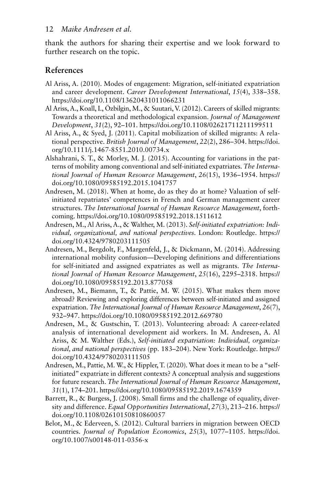thank the authors for sharing their expertise and we look forward to further research on the topic.

# **References**

- Al Ariss, A. (2010). Modes of engagement: Migration, self-initiated expatriation and career development. *Career Development International*, *15*(4), 338–358. https://doi.org/10.1108/13620431011066231
- Al Ariss, A., Koall, I., Özbilgin, M., & Suutari, V. (2012). Careers of skilled migrants: Towards a theoretical and methodological expansion. *Journal of Management Development*, *31*(2), 92–101. https://doi.org/10.1108/02621711211199511
- Al Ariss, A., & Syed, J. (2011). Capital mobilization of skilled migrants: A relational perspective. *British Journal of Management*, *22*(2), 286–304. https://doi. org/10.1111/j.1467-8551.2010.00734.x
- Alshahrani, S. T., & Morley, M. J. (2015). Accounting for variations in the patterns of mobility among conventional and self-initiated expatriates. *The International Journal of Human Resource Management*, *26*(15), 1936–1954. https:// doi.org/10.1080/09585192.2015.1041757
- Andresen, M. (2018). When at home, do as they do at home? Valuation of selfinitiated repatriates' competences in French and German management career structures. *The International Journal of Human Resource Management*, forthcoming. https://doi.org/10.1080/09585192.2018.1511612
- Andresen, M., Al Ariss, A., & Walther, M. (2013). *Self-initiated expatriation: Individual, organizational, and national perspectives*. London: Routledge. https:// doi.org/10.4324/9780203111505
- Andresen, M., Bergdolt, F., Margenfeld, J., & Dickmann, M. (2014). Addressing international mobility confusion—Developing definitions and differentiations for self-initiated and assigned expatriates as well as migrants. *The International Journal of Human Resource Management*, *25*(16), 2295–2318. https:// doi.org/10.1080/09585192.2013.877058
- Andresen, M., Biemann, T., & Pattie, M. W. (2015). What makes them move abroad? Reviewing and exploring differences between self-initiated and assigned expatriation. *The International Journal of Human Resource Management*, *26*(7), 932–947. https://doi.org/10.1080/09585192.2012.669780
- Andresen, M., & Gustschin, T. (2013). Volunteering abroad: A career-related analysis of international development aid workers. In M. Andresen, A. Al Ariss, & M. Walther (Eds.), *Self-initiated expatriation: Individual, organizational, and national perspectives* (pp. 183–204). New York: Routledge. https:// doi.org/10.4324/9780203111505
- Andresen, M., Pattie, M. W., & Hippler, T. (2020). What does it mean to be a "selfinitiated" expatriate in different contexts? A conceptual analysis and suggestions for future research. *The International Journal of Human Resource Management*, *31*(1), 174–201. https://doi.org/10.1080/09585192.2019.1674359
- Barrett, R., & Burgess, J. (2008). Small firms and the challenge of equality, diversity and difference. *Equal Opportunities International*, *27*(3), 213–216. https:// doi.org/10.1108/02610150810860057
- Belot, M., & Ederveen, S. (2012). Cultural barriers in migration between OECD countries. *Journal of Population Economics*, *25*(3), 1077–1105. https://doi. org/10.1007/s00148-011-0356-x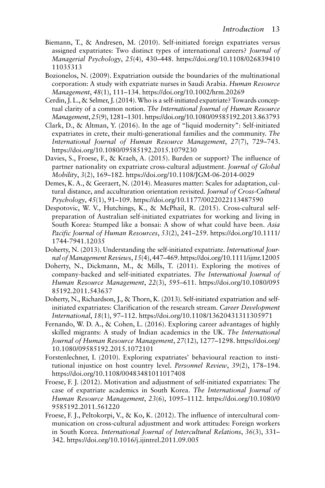- Biemann, T., & Andresen, M. (2010). Self-initiated foreign expatriates versus assigned expatriates: Two distinct types of international careers? *Journal of Managerial Psychology*, *25*(4), 430–448. https://doi.org/10.1108/026839410 11035313
- Bozionelos, N. (2009). Expatriation outside the boundaries of the multinational corporation: A study with expatriate nurses in Saudi Arabia. *Human Resource Management*, *48*(1), 111–134. https://doi.org/10.1002/hrm.20269
- Cerdin, J. L., & Selmer, J. (2014). Who is a self-initiated expatriate? Towards conceptual clarity of a common notion. *The International Journal of Human Resource Management*, *25*(9), 1281–1301. https://doi.org/10.1080/09585192.2013.863793
- Clark, D., & Altman, Y. (2016). In the age of "liquid modernity": Self-initiated expatriates in crete, their multi-generational families and the community. *The International Journal of Human Resource Management*, *27*(7), 729–743. https://doi.org/10.1080/09585192.2015.1079230
- Davies, S., Froese, F., & Kraeh, A. (2015). Burden or support? The influence of partner nationality on expatriate cross-cultural adjustment. *Journal of Global Mobility*, *3*(2), 169–182. https://doi.org/10.1108/JGM-06-2014-0029
- Demes, K. A., & Geeraert, N. (2014). Measures matter: Scales for adaptation, cultural distance, and acculturation orientation revisited. *Journal of Cross-Cultural Psychology*, *45*(1), 91–109. https://doi.org/10.1177/0022022113487590
- Despotovic, W. V., Hutchings, K., & McPhail, R. (2015). Cross-cultural selfpreparation of Australian self-initiated expatriates for working and living in South Korea: Stumped like a bonsai: A show of what could have been. *Asia Pacific Journal of Human Resources*, *53*(2), 241–259. https://doi.org/10.1111/ 1744-7941.12035
- Doherty, N. (2013). Understanding the self-initiated expatriate. *International Journal of Management Reviews*, *15*(4), 447–469. https://doi.org/10.1111/ijmr.12005
- Doherty, N., Dickmann, M., & Mills, T. (2011). Exploring the motives of company-backed and self-initiated expatriates. *The International Journal of Human Resource Management*, *22*(3), 595–611. https://doi.org/10.1080/095 85192.2011.543637
- Doherty, N., Richardson, J., & Thorn, K. (2013). Self-initiated expatriation and selfinitiated expatriates: Clarification of the research stream. *Career Development International*, *18*(1), 97–112. https://doi.org/10.1108/13620431311305971
- Fernando, W. D. A., & Cohen, L. (2016). Exploring career advantages of highly skilled migrants: A study of Indian academics in the UK. *The International Journal of Human Resource Management*, *27*(12), 1277–1298. https://doi.org/ 10.1080/09585192.2015.1072101
- Forstenlechner, I. (2010). Exploring expatriates' behavioural reaction to institutional injustice on host country level. *Personnel Review*, *39*(2), 178–194. https://doi.org/10.1108/00483481011017408
- Froese, F. J. (2012). Motivation and adjustment of self-initiated expatriates: The case of expatriate academics in South Korea. *The International Journal of Human Resource Management*, *23*(6), 1095–1112. https://doi.org/10.1080/0 9585192.2011.561220
- Froese, F. J., Peltokorpi, V., & Ko, K. (2012). The influence of intercultural communication on cross-cultural adjustment and work attitudes: Foreign workers in South Korea. *International Journal of Intercultural Relations*, *36*(3), 331– 342. https://doi.org/10.1016/j.ijintrel.2011.09.005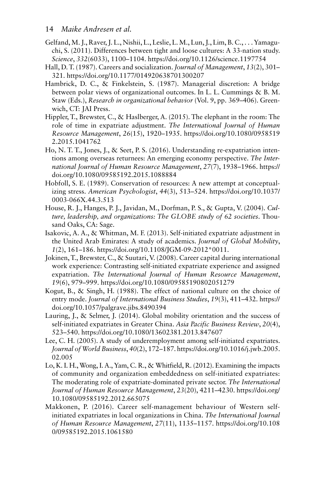#### 14 *Maike Andresen et al.*

- Gelfand, M. J., Raver, J. L., Nishii, L., Leslie, L. M., Lun, J., Lim, B. C., . . . Yamaguchi, S. (2011). Differences between tight and loose cultures: A 33-nation study. *Science*, *332*(6033), 1100–1104. https://doi.org/10.1126/science.1197754
- Hall, D. T. (1987). Careers and socialization. *Journal of Management*, *13*(2), 301– 321. https://doi.org/10.1177/014920638701300207
- Hambrick, D. C., & Finkelstein, S. (1987). Managerial discretion: A bridge between polar views of organizational outcomes. In L. L. Cummings & B. M. Staw (Eds.), *Research in organizational behavior* (Vol. 9, pp. 369–406). Greenwich, CT: JAI Press.
- Hippler, T., Brewster, C., & Haslberger, A. (2015). The elephant in the room: The role of time in expatriate adjustment. *The International Journal of Human Resource Management*, *26*(15), 1920–1935. https://doi.org/10.1080/0958519 2.2015.1041762
- Ho, N. T. T., Jones, J., & Seet, P. S. (2016). Understanding re-expatriation intentions among overseas returnees: An emerging economy perspective. *The International Journal of Human Resource Management*, *27*(7), 1938–1966. https:// doi.org/10.1080/09585192.2015.1088884
- Hobfoll, S. E. (1989). Conservation of resources: A new attempt at conceptualizing stress. *American Psychologist*, *44*(3), 513–524. https://doi.org/10.1037/ 0003-066X.44.3.513
- House, R. J., Hanges, P. J., Javidan, M., Dorfman, P. S., & Gupta, V. (2004). *Culture, leadership, and organizations: The GLOBE study of 62 societies*. Thousand Oaks, CA: Sage.
- Isakovic, A. A., & Whitman, M. F. (2013). Self-initiated expatriate adjustment in the United Arab Emirates: A study of academics. *Journal of Global Mobility*, *1*(2), 161–186. https://doi.org/10.1108/JGM-09-2012\*0011 .
- Jokinen, T., Brewster, C., & Suutari, V. (2008). Career capital during international work experience: Contrasting self-initiated expatriate experience and assigned expatriation. *The International Journal of Human Resource Management*, *19*(6), 979–999. https://doi.org/10.1080/09585190802051279
- Kogut, B., & Singh, H. (1988). The effect of national culture on the choice of entry mode. *Journal of International Business Studies*, *19*(3), 411–432. https:// doi.org/10.1057/palgrave.jibs.8490394
- Lauring, J., & Selmer, J. (2014). Global mobility orientation and the success of self-initiated expatriates in Greater China. *Asia Pacific Business Review*, *20*(4), 523–540. https://doi.org/10.1080/13602381.2013.847607
- Lee, C. H. (2005). A study of underemployment among self-initiated expatriates. *Journal of World Business*, *40*(2), 172–187. https://doi.org/10.1016/j.jwb.2005. 02.005
- Lo, K. I. H., Wong, I. A., Yam, C. R., & Whitfield, R. (2012). Examining the impacts of community and organization embeddedness on self-initiated expatriates: The moderating role of expatriate-dominated private sector. *The International Journal of Human Resource Management*, *23*(20), 4211–4230. https://doi.org/ 10.1080/09585192.2012.665075
- Makkonen, P. (2016). Career self-management behaviour of Western selfinitiated expatriates in local organizations in China. *The International Journal of Human Resource Management*, *27*(11), 1135–1157. https://doi.org/10.108 0/09585192.2015.1061580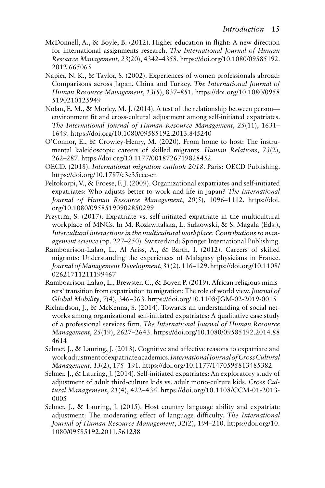- McDonnell, A., & Boyle, B. (2012). Higher education in flight: A new direction for international assignments research. *The International Journal of Human Resource Management*, *23*(20), 4342–4358. https://doi.org/10.1080/09585192. 2012.665065
- Napier, N. K., & Taylor, S. (2002). Experiences of women professionals abroad: Comparisons across Japan, China and Turkey. *The International Journal of Human Resource Management*, *13*(5), 837–851. https://doi.org/10.1080/0958 5190210125949
- Nolan, E. M., & Morley, M. J. (2014). A test of the relationship between person environment fit and cross-cultural adjustment among self-initiated expatriates. *The International Journal of Human Resource Management*, *25*(11), 1631– 1649. https://doi.org/10.1080/09585192.2013.845240
- O'Connor, E., & Crowley-Henry, M. (2020). From home to host: The instrumental kaleidoscopic careers of skilled migrants. *Human Relations*, *73*(2), 262–287. https://doi.org/10.1177/0018726719828452
- OECD. (2018). *International migration outlook 2018*. Paris: OECD Publishing. https://doi.org/10.1787/c3e35eec-en
- Peltokorpi, V., & Froese, F. J. (2009). Organizational expatriates and self-initiated expatriates: Who adjusts better to work and life in Japan? *The International Journal of Human Resource Management*, *20*(5), 1096–1112. https://doi. org/10.1080/09585190902850299
- Przytuła, S. (2017). Expatriate vs. self-initiated expatriate in the multicultural workplace of MNCs. In M. Rozkwitalska, L. Sułkowski, & S. Magala (Eds.), *Intercultural interactions in the multicultural workplace: Contributions to management science* (pp. 227–250). Switzerland: Springer International Publishing.
- Ramboarison-Lalao, L., Al Ariss, A., & Barth, I. (2012). Careers of skilled migrants: Understanding the experiences of Malagasy physicians in France. *Journal of Management Development*, *31*(2), 116–129. https://doi.org/10.1108/ 02621711211199467
- Ramboarison-Lalao, L., Brewster, C., & Boyer, P. (2019). African religious ministers' transition from expatriation to migration: The role of world view. *Journal of Global Mobility*, *7*(4), 346–363. https://doi.org/10.1108/JGM-02-2019-0015
- Richardson, J., & McKenna, S. (2014). Towards an understanding of social networks among organizational self-initiated expatriates: A qualitative case study of a professional services firm. *The International Journal of Human Resource Management*, *25*(19), 2627–2643. https://doi.org/10.1080/09585192.2014.88 4614
- Selmer, J., & Lauring, J. (2013). Cognitive and affective reasons to expatriate and work adjustment of expatriate academics. *International Journal of Cross Cultural Management*, *13*(2), 175–191. https://doi.org/10.1177/1470595813485382
- Selmer, J., & Lauring, J. (2014). Self-initiated expatriates: An exploratory study of adjustment of adult third-culture kids vs. adult mono-culture kids. *Cross Cultural Management*, *21*(4), 422–436. https://doi.org/10.1108/CCM-01-2013- 0005
- Selmer, J., & Lauring, J. (2015). Host country language ability and expatriate adjustment: The moderating effect of language difficulty. *The International Journal of Human Resource Management*, *32*(2), 194–210. https://doi.org/10. 1080/09585192.2011.561238